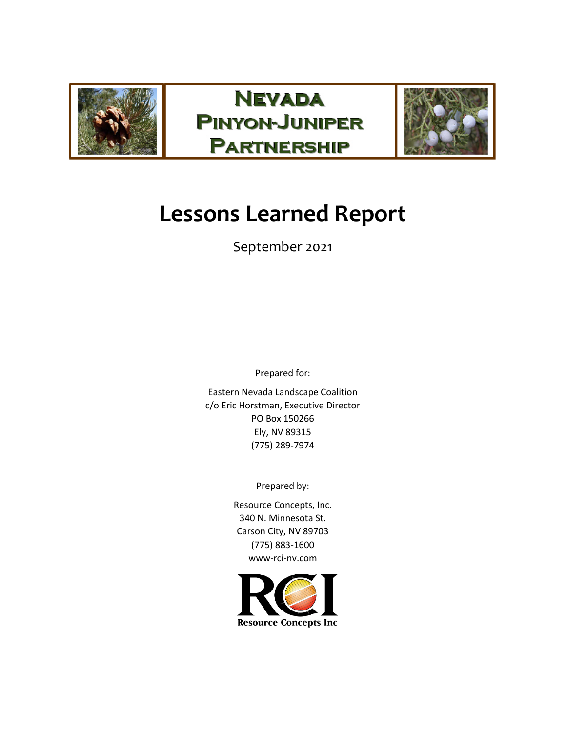





# **Lessons Learned Report**

# September 2021

Prepared for:

Eastern Nevada Landscape Coalition c/o Eric Horstman, Executive Director PO Box 150266 Ely, NV 89315 (775) 289-7974

Prepared by:

Resource Concepts, Inc. 340 N. Minnesota St. Carson City, NV 89703 (775) 883-1600 www-rci-nv.com

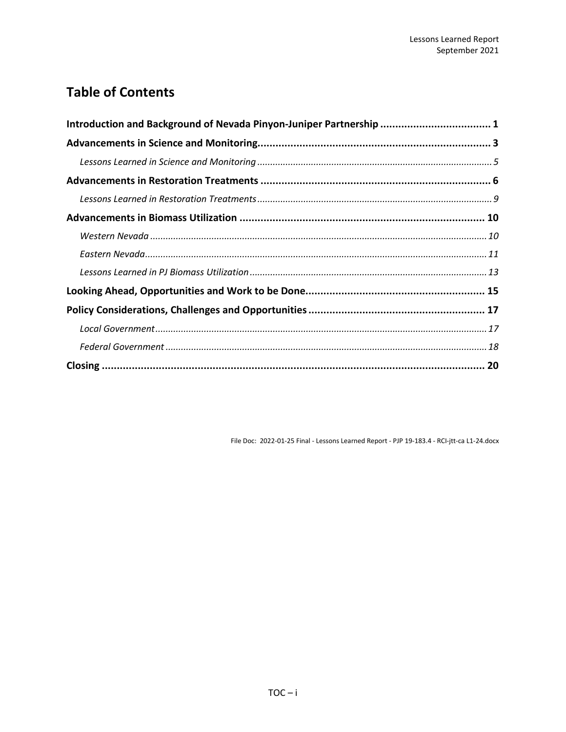# **Table of Contents**

| Introduction and Background of Nevada Pinyon-Juniper Partnership  1 |  |
|---------------------------------------------------------------------|--|
|                                                                     |  |
|                                                                     |  |
|                                                                     |  |
|                                                                     |  |
|                                                                     |  |
|                                                                     |  |
|                                                                     |  |
|                                                                     |  |
|                                                                     |  |
|                                                                     |  |
|                                                                     |  |
|                                                                     |  |
|                                                                     |  |

File Doc: 2022-01-25 Final - Lessons Learned Report - PJP 19-183.4 - RCI-jtt-ca L1-24.docx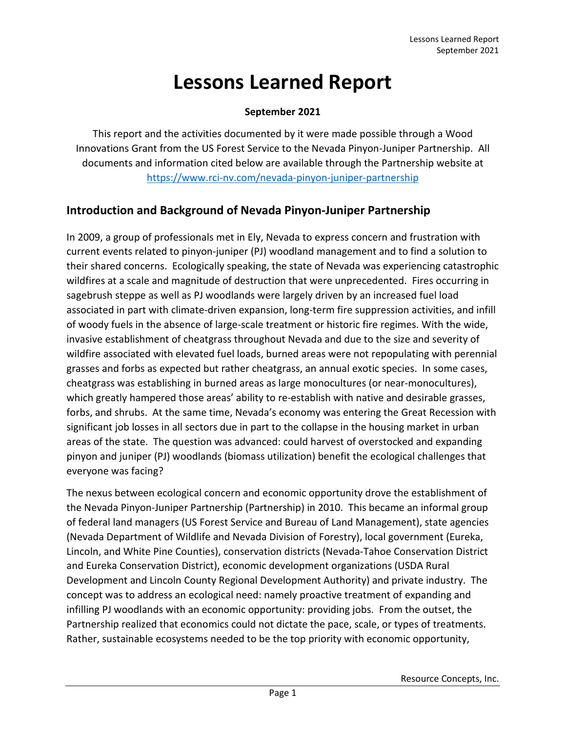# **Lessons Learned Report**

#### **September 2021**

This report and the activities documented by it were made possible through a Wood Innovations Grant from the US Forest Service to the Nevada Pinyon-Juniper Partnership. All documents and information cited below are available through the Partnership website at <https://www.rci-nv.com/nevada-pinyon-juniper-partnership>

# <span id="page-2-0"></span>**Introduction and Background of Nevada Pinyon-Juniper Partnership**

In 2009, a group of professionals met in Ely, Nevada to express concern and frustration with current events related to pinyon-juniper (PJ) woodland management and to find a solution to their shared concerns. Ecologically speaking, the state of Nevada was experiencing catastrophic wildfires at a scale and magnitude of destruction that were unprecedented. Fires occurring in sagebrush steppe as well as PJ woodlands were largely driven by an increased fuel load associated in part with climate-driven expansion, long-term fire suppression activities, and infill of woody fuels in the absence of large-scale treatment or historic fire regimes. With the wide, invasive establishment of cheatgrass throughout Nevada and due to the size and severity of wildfire associated with elevated fuel loads, burned areas were not repopulating with perennial grasses and forbs as expected but rather cheatgrass, an annual exotic species. In some cases, cheatgrass was establishing in burned areas as large monocultures (or near-monocultures), which greatly hampered those areas' ability to re-establish with native and desirable grasses, forbs, and shrubs. At the same time, Nevada's economy was entering the Great Recession with significant job losses in all sectors due in part to the collapse in the housing market in urban areas of the state. The question was advanced: could harvest of overstocked and expanding pinyon and juniper (PJ) woodlands (biomass utilization) benefit the ecological challenges that everyone was facing?

The nexus between ecological concern and economic opportunity drove the establishment of the Nevada Pinyon-Juniper Partnership (Partnership) in 2010. This became an informal group of federal land managers (US Forest Service and Bureau of Land Management), state agencies (Nevada Department of Wildlife and Nevada Division of Forestry), local government (Eureka, Lincoln, and White Pine Counties), conservation districts (Nevada-Tahoe Conservation District and Eureka Conservation District), economic development organizations (USDA Rural Development and Lincoln County Regional Development Authority) and private industry. The concept was to address an ecological need: namely proactive treatment of expanding and infilling PJ woodlands with an economic opportunity: providing jobs. From the outset, the Partnership realized that economics could not dictate the pace, scale, or types of treatments. Rather, sustainable ecosystems needed to be the top priority with economic opportunity,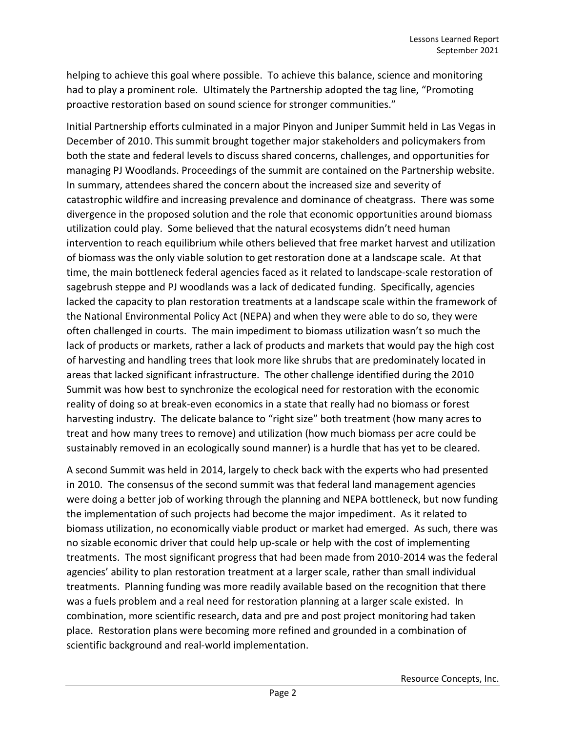helping to achieve this goal where possible. To achieve this balance, science and monitoring had to play a prominent role. Ultimately the Partnership adopted the tag line, "Promoting proactive restoration based on sound science for stronger communities."

Initial Partnership efforts culminated in a major Pinyon and Juniper Summit held in Las Vegas in December of 2010. This summit brought together major stakeholders and policymakers from both the state and federal levels to discuss shared concerns, challenges, and opportunities for managing PJ Woodlands. Proceedings of the summit are contained on the Partnership website. In summary, attendees shared the concern about the increased size and severity of catastrophic wildfire and increasing prevalence and dominance of cheatgrass. There was some divergence in the proposed solution and the role that economic opportunities around biomass utilization could play. Some believed that the natural ecosystems didn't need human intervention to reach equilibrium while others believed that free market harvest and utilization of biomass was the only viable solution to get restoration done at a landscape scale. At that time, the main bottleneck federal agencies faced as it related to landscape-scale restoration of sagebrush steppe and PJ woodlands was a lack of dedicated funding. Specifically, agencies lacked the capacity to plan restoration treatments at a landscape scale within the framework of the National Environmental Policy Act (NEPA) and when they were able to do so, they were often challenged in courts. The main impediment to biomass utilization wasn't so much the lack of products or markets, rather a lack of products and markets that would pay the high cost of harvesting and handling trees that look more like shrubs that are predominately located in areas that lacked significant infrastructure. The other challenge identified during the 2010 Summit was how best to synchronize the ecological need for restoration with the economic reality of doing so at break-even economics in a state that really had no biomass or forest harvesting industry. The delicate balance to "right size" both treatment (how many acres to treat and how many trees to remove) and utilization (how much biomass per acre could be sustainably removed in an ecologically sound manner) is a hurdle that has yet to be cleared.

A second Summit was held in 2014, largely to check back with the experts who had presented in 2010. The consensus of the second summit was that federal land management agencies were doing a better job of working through the planning and NEPA bottleneck, but now funding the implementation of such projects had become the major impediment. As it related to biomass utilization, no economically viable product or market had emerged. As such, there was no sizable economic driver that could help up-scale or help with the cost of implementing treatments. The most significant progress that had been made from 2010-2014 was the federal agencies' ability to plan restoration treatment at a larger scale, rather than small individual treatments. Planning funding was more readily available based on the recognition that there was a fuels problem and a real need for restoration planning at a larger scale existed. In combination, more scientific research, data and pre and post project monitoring had taken place. Restoration plans were becoming more refined and grounded in a combination of scientific background and real-world implementation.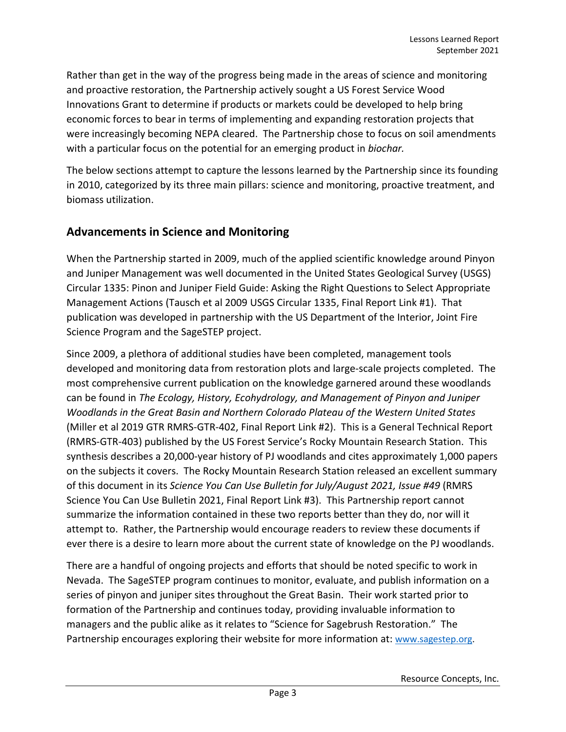Rather than get in the way of the progress being made in the areas of science and monitoring and proactive restoration, the Partnership actively sought a US Forest Service Wood Innovations Grant to determine if products or markets could be developed to help bring economic forces to bear in terms of implementing and expanding restoration projects that were increasingly becoming NEPA cleared. The Partnership chose to focus on soil amendments with a particular focus on the potential for an emerging product in *biochar.*

The below sections attempt to capture the lessons learned by the Partnership since its founding in 2010, categorized by its three main pillars: science and monitoring, proactive treatment, and biomass utilization.

### <span id="page-4-0"></span>**Advancements in Science and Monitoring**

When the Partnership started in 2009, much of the applied scientific knowledge around Pinyon and Juniper Management was well documented in the United States Geological Survey (USGS) Circular 1335: Pinon and Juniper Field Guide: Asking the Right Questions to Select Appropriate Management Actions (Tausch et al 2009 USGS Circular 1335, Final Report Link #1). That publication was developed in partnership with the US Department of the Interior, Joint Fire Science Program and the SageSTEP project.

Since 2009, a plethora of additional studies have been completed, management tools developed and monitoring data from restoration plots and large-scale projects completed. The most comprehensive current publication on the knowledge garnered around these woodlands can be found in *The Ecology, History, Ecohydrology, and Management of Pinyon and Juniper Woodlands in the Great Basin and Northern Colorado Plateau of the Western United States*  (Miller et al 2019 GTR RMRS-GTR-402, Final Report Link #2). This is a General Technical Report (RMRS-GTR-403) published by the US Forest Service's Rocky Mountain Research Station. This synthesis describes a 20,000-year history of PJ woodlands and cites approximately 1,000 papers on the subjects it covers. The Rocky Mountain Research Station released an excellent summary of this document in its *Science You Can Use Bulletin for July/August 2021, Issue #49* (RMRS Science You Can Use Bulletin 2021, Final Report Link #3). This Partnership report cannot summarize the information contained in these two reports better than they do, nor will it attempt to. Rather, the Partnership would encourage readers to review these documents if ever there is a desire to learn more about the current state of knowledge on the PJ woodlands.

There are a handful of ongoing projects and efforts that should be noted specific to work in Nevada. The SageSTEP program continues to monitor, evaluate, and publish information on a series of pinyon and juniper sites throughout the Great Basin. Their work started prior to formation of the Partnership and continues today, providing invaluable information to managers and the public alike as it relates to "Science for Sagebrush Restoration." The Partnership encourages exploring their website for more information at: [www.sagestep.org.](http://www.sagestep.org/)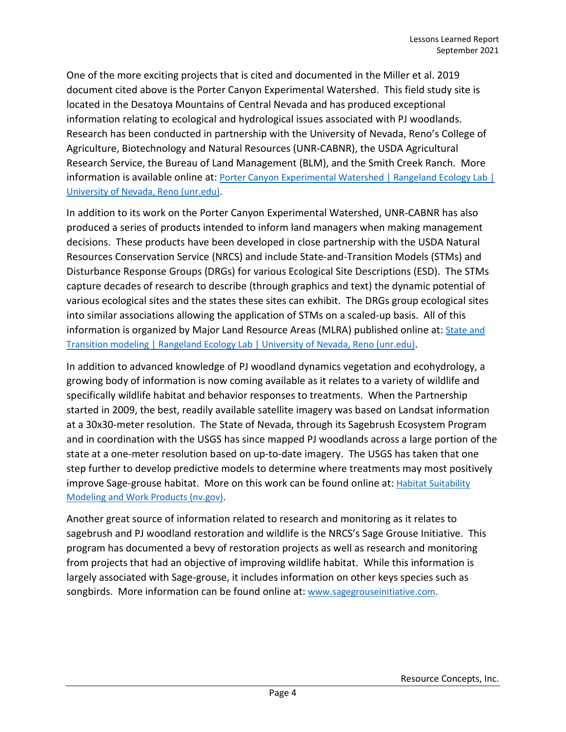One of the more exciting projects that is cited and documented in the Miller et al. 2019 document cited above is the Porter Canyon Experimental Watershed. This field study site is located in the Desatoya Mountains of Central Nevada and has produced exceptional information relating to ecological and hydrological issues associated with PJ woodlands. Research has been conducted in partnership with the University of Nevada, Reno's College of Agriculture, Biotechnology and Natural Resources (UNR-CABNR), the USDA Agricultural Research Service, the Bureau of Land Management (BLM), and the Smith Creek Ranch. More information is available online at: Porter Canyon Experimental Watershed | Rangeland Ecology Lab | [University of Nevada, Reno \(unr.edu\).](https://naes.unr.edu/rangeland_ecology/research-projects/porter-canyon/)

In addition to its work on the Porter Canyon Experimental Watershed, UNR-CABNR has also produced a series of products intended to inform land managers when making management decisions. These products have been developed in close partnership with the USDA Natural Resources Conservation Service (NRCS) and include State-and-Transition Models (STMs) and Disturbance Response Groups (DRGs) for various Ecological Site Descriptions (ESD). The STMs capture decades of research to describe (through graphics and text) the dynamic potential of various ecological sites and the states these sites can exhibit. The DRGs group ecological sites into similar associations allowing the application of STMs on a scaled-up basis. All of this information is organized by Major Land Resource Areas (MLRA) published online at: State and [Transition modeling | Rangeland Ecology Lab | University of Nevada, Reno \(unr.edu\).](https://naes.unr.edu/rangeland_ecology/research-projects/state-and-transition-models/)

In addition to advanced knowledge of PJ woodland dynamics vegetation and ecohydrology, a growing body of information is now coming available as it relates to a variety of wildlife and specifically wildlife habitat and behavior responses to treatments. When the Partnership started in 2009, the best, readily available satellite imagery was based on Landsat information at a 30x30-meter resolution. The State of Nevada, through its Sagebrush Ecosystem Program and in coordination with the USGS has since mapped PJ woodlands across a large portion of the state at a one-meter resolution based on up-to-date imagery. The USGS has taken that one step further to develop predictive models to determine where treatments may most positively improve Sage-grouse habitat. More on this work can be found online at: Habitat Suitability [Modeling and Work Products \(nv.gov\).](https://sagebrusheco.nv.gov/HSM/Habitat_Suitability_Modeling_and_Work_Products/)

Another great source of information related to research and monitoring as it relates to sagebrush and PJ woodland restoration and wildlife is the NRCS's Sage Grouse Initiative. This program has documented a bevy of restoration projects as well as research and monitoring from projects that had an objective of improving wildlife habitat. While this information is largely associated with Sage-grouse, it includes information on other keys species such as songbirds. More information can be found online at: [www.sagegrouseinitiative.com.](http://www.sagegrouseinitiative.com/)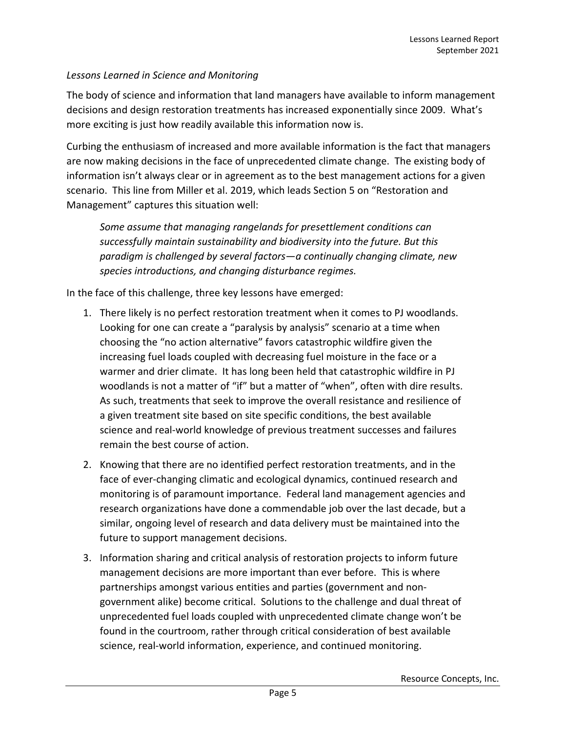#### <span id="page-6-0"></span>*Lessons Learned in Science and Monitoring*

The body of science and information that land managers have available to inform management decisions and design restoration treatments has increased exponentially since 2009. What's more exciting is just how readily available this information now is.

Curbing the enthusiasm of increased and more available information is the fact that managers are now making decisions in the face of unprecedented climate change. The existing body of information isn't always clear or in agreement as to the best management actions for a given scenario. This line from Miller et al. 2019, which leads Section 5 on "Restoration and Management" captures this situation well:

*Some assume that managing rangelands for presettlement conditions can successfully maintain sustainability and biodiversity into the future. But this paradigm is challenged by several factors—a continually changing climate, new species introductions, and changing disturbance regimes.*

In the face of this challenge, three key lessons have emerged:

- 1. There likely is no perfect restoration treatment when it comes to PJ woodlands. Looking for one can create a "paralysis by analysis" scenario at a time when choosing the "no action alternative" favors catastrophic wildfire given the increasing fuel loads coupled with decreasing fuel moisture in the face or a warmer and drier climate. It has long been held that catastrophic wildfire in PJ woodlands is not a matter of "if" but a matter of "when", often with dire results. As such, treatments that seek to improve the overall resistance and resilience of a given treatment site based on site specific conditions, the best available science and real-world knowledge of previous treatment successes and failures remain the best course of action.
- 2. Knowing that there are no identified perfect restoration treatments, and in the face of ever-changing climatic and ecological dynamics, continued research and monitoring is of paramount importance. Federal land management agencies and research organizations have done a commendable job over the last decade, but a similar, ongoing level of research and data delivery must be maintained into the future to support management decisions.
- 3. Information sharing and critical analysis of restoration projects to inform future management decisions are more important than ever before. This is where partnerships amongst various entities and parties (government and nongovernment alike) become critical. Solutions to the challenge and dual threat of unprecedented fuel loads coupled with unprecedented climate change won't be found in the courtroom, rather through critical consideration of best available science, real-world information, experience, and continued monitoring.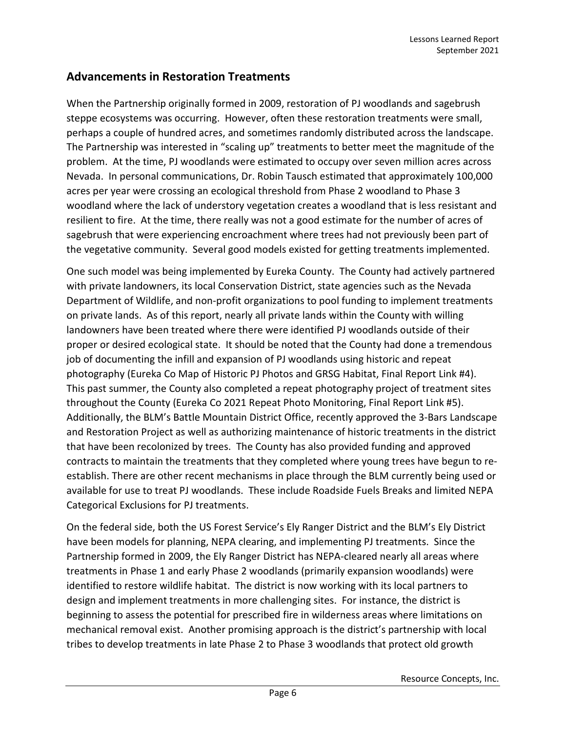# <span id="page-7-0"></span>**Advancements in Restoration Treatments**

When the Partnership originally formed in 2009, restoration of PJ woodlands and sagebrush steppe ecosystems was occurring. However, often these restoration treatments were small, perhaps a couple of hundred acres, and sometimes randomly distributed across the landscape. The Partnership was interested in "scaling up" treatments to better meet the magnitude of the problem. At the time, PJ woodlands were estimated to occupy over seven million acres across Nevada. In personal communications, Dr. Robin Tausch estimated that approximately 100,000 acres per year were crossing an ecological threshold from Phase 2 woodland to Phase 3 woodland where the lack of understory vegetation creates a woodland that is less resistant and resilient to fire. At the time, there really was not a good estimate for the number of acres of sagebrush that were experiencing encroachment where trees had not previously been part of the vegetative community. Several good models existed for getting treatments implemented.

One such model was being implemented by Eureka County. The County had actively partnered with private landowners, its local Conservation District, state agencies such as the Nevada Department of Wildlife, and non-profit organizations to pool funding to implement treatments on private lands. As of this report, nearly all private lands within the County with willing landowners have been treated where there were identified PJ woodlands outside of their proper or desired ecological state. It should be noted that the County had done a tremendous job of documenting the infill and expansion of PJ woodlands using historic and repeat photography (Eureka Co Map of Historic PJ Photos and GRSG Habitat, Final Report Link #4). This past summer, the County also completed a repeat photography project of treatment sites throughout the County (Eureka Co 2021 Repeat Photo Monitoring, Final Report Link #5). Additionally, the BLM's Battle Mountain District Office, recently approved the 3-Bars Landscape and Restoration Project as well as authorizing maintenance of historic treatments in the district that have been recolonized by trees. The County has also provided funding and approved contracts to maintain the treatments that they completed where young trees have begun to reestablish. There are other recent mechanisms in place through the BLM currently being used or available for use to treat PJ woodlands. These include Roadside Fuels Breaks and limited NEPA Categorical Exclusions for PJ treatments.

On the federal side, both the US Forest Service's Ely Ranger District and the BLM's Ely District have been models for planning, NEPA clearing, and implementing PJ treatments. Since the Partnership formed in 2009, the Ely Ranger District has NEPA-cleared nearly all areas where treatments in Phase 1 and early Phase 2 woodlands (primarily expansion woodlands) were identified to restore wildlife habitat. The district is now working with its local partners to design and implement treatments in more challenging sites. For instance, the district is beginning to assess the potential for prescribed fire in wilderness areas where limitations on mechanical removal exist. Another promising approach is the district's partnership with local tribes to develop treatments in late Phase 2 to Phase 3 woodlands that protect old growth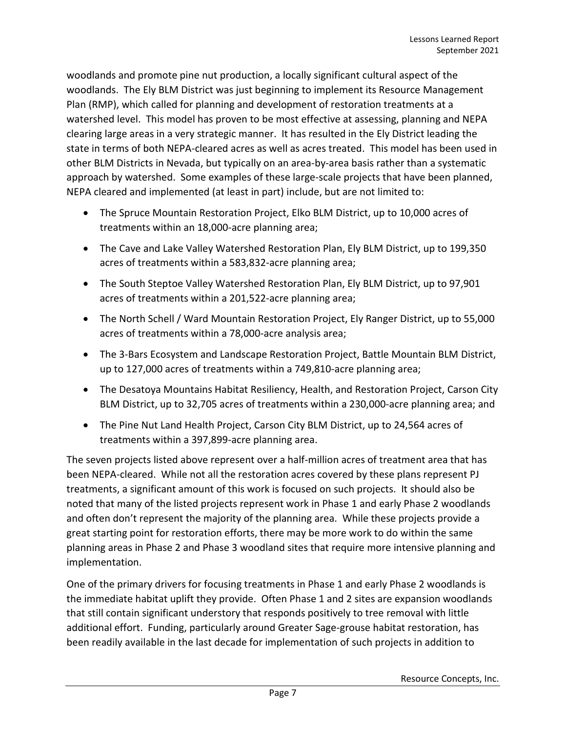woodlands and promote pine nut production, a locally significant cultural aspect of the woodlands. The Ely BLM District was just beginning to implement its Resource Management Plan (RMP), which called for planning and development of restoration treatments at a watershed level. This model has proven to be most effective at assessing, planning and NEPA clearing large areas in a very strategic manner. It has resulted in the Ely District leading the state in terms of both NEPA-cleared acres as well as acres treated. This model has been used in other BLM Districts in Nevada, but typically on an area-by-area basis rather than a systematic approach by watershed. Some examples of these large-scale projects that have been planned, NEPA cleared and implemented (at least in part) include, but are not limited to:

- The Spruce Mountain Restoration Project, Elko BLM District, up to 10,000 acres of treatments within an 18,000-acre planning area;
- The Cave and Lake Valley Watershed Restoration Plan, Ely BLM District, up to 199,350 acres of treatments within a 583,832-acre planning area;
- The South Steptoe Valley Watershed Restoration Plan, Ely BLM District, up to 97,901 acres of treatments within a 201,522-acre planning area;
- The North Schell / Ward Mountain Restoration Project, Ely Ranger District, up to 55,000 acres of treatments within a 78,000-acre analysis area;
- The 3-Bars Ecosystem and Landscape Restoration Project, Battle Mountain BLM District, up to 127,000 acres of treatments within a 749,810-acre planning area;
- The Desatoya Mountains Habitat Resiliency, Health, and Restoration Project, Carson City BLM District, up to 32,705 acres of treatments within a 230,000-acre planning area; and
- The Pine Nut Land Health Project, Carson City BLM District, up to 24,564 acres of treatments within a 397,899-acre planning area.

The seven projects listed above represent over a half-million acres of treatment area that has been NEPA-cleared. While not all the restoration acres covered by these plans represent PJ treatments, a significant amount of this work is focused on such projects. It should also be noted that many of the listed projects represent work in Phase 1 and early Phase 2 woodlands and often don't represent the majority of the planning area. While these projects provide a great starting point for restoration efforts, there may be more work to do within the same planning areas in Phase 2 and Phase 3 woodland sites that require more intensive planning and implementation.

One of the primary drivers for focusing treatments in Phase 1 and early Phase 2 woodlands is the immediate habitat uplift they provide. Often Phase 1 and 2 sites are expansion woodlands that still contain significant understory that responds positively to tree removal with little additional effort. Funding, particularly around Greater Sage-grouse habitat restoration, has been readily available in the last decade for implementation of such projects in addition to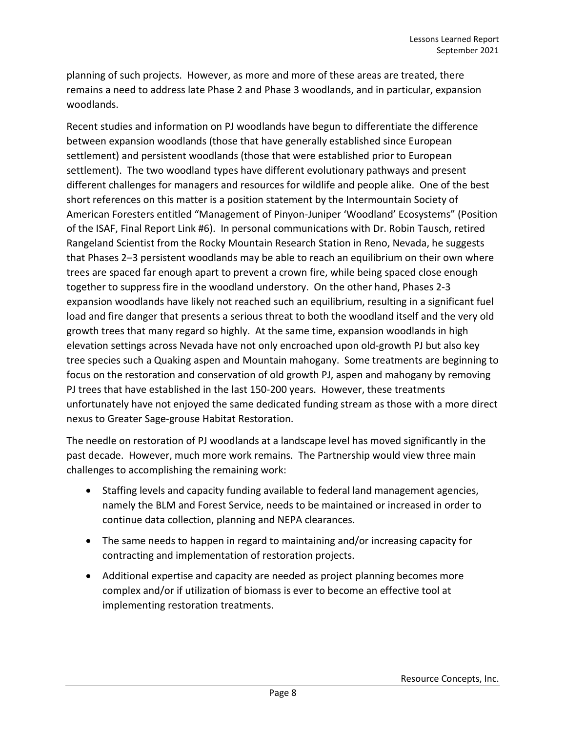planning of such projects. However, as more and more of these areas are treated, there remains a need to address late Phase 2 and Phase 3 woodlands, and in particular, expansion woodlands.

Recent studies and information on PJ woodlands have begun to differentiate the difference between expansion woodlands (those that have generally established since European settlement) and persistent woodlands (those that were established prior to European settlement). The two woodland types have different evolutionary pathways and present different challenges for managers and resources for wildlife and people alike. One of the best short references on this matter is a position statement by the Intermountain Society of American Foresters entitled "Management of Pinyon-Juniper 'Woodland' Ecosystems" (Position of the ISAF, Final Report Link #6). In personal communications with Dr. Robin Tausch, retired Rangeland Scientist from the Rocky Mountain Research Station in Reno, Nevada, he suggests that Phases 2–3 persistent woodlands may be able to reach an equilibrium on their own where trees are spaced far enough apart to prevent a crown fire, while being spaced close enough together to suppress fire in the woodland understory. On the other hand, Phases 2-3 expansion woodlands have likely not reached such an equilibrium, resulting in a significant fuel load and fire danger that presents a serious threat to both the woodland itself and the very old growth trees that many regard so highly. At the same time, expansion woodlands in high elevation settings across Nevada have not only encroached upon old-growth PJ but also key tree species such a Quaking aspen and Mountain mahogany. Some treatments are beginning to focus on the restoration and conservation of old growth PJ, aspen and mahogany by removing PJ trees that have established in the last 150-200 years. However, these treatments unfortunately have not enjoyed the same dedicated funding stream as those with a more direct nexus to Greater Sage-grouse Habitat Restoration.

The needle on restoration of PJ woodlands at a landscape level has moved significantly in the past decade. However, much more work remains. The Partnership would view three main challenges to accomplishing the remaining work:

- Staffing levels and capacity funding available to federal land management agencies, namely the BLM and Forest Service, needs to be maintained or increased in order to continue data collection, planning and NEPA clearances.
- The same needs to happen in regard to maintaining and/or increasing capacity for contracting and implementation of restoration projects.
- Additional expertise and capacity are needed as project planning becomes more complex and/or if utilization of biomass is ever to become an effective tool at implementing restoration treatments.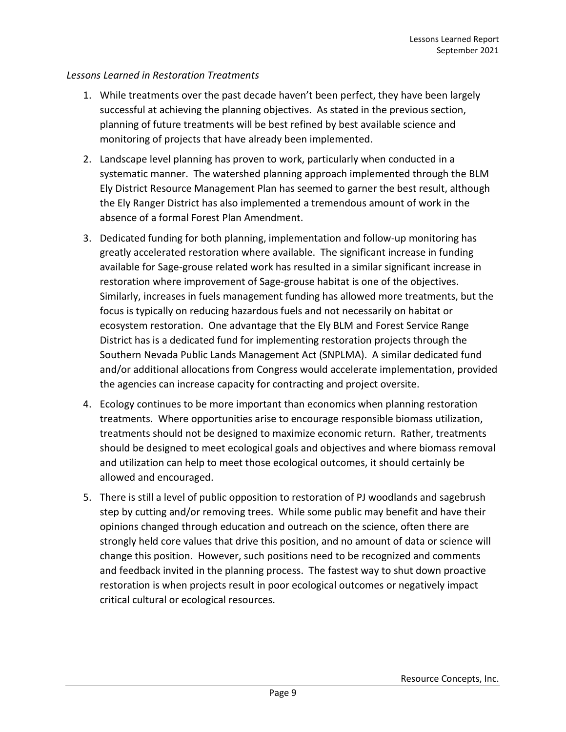#### <span id="page-10-0"></span>*Lessons Learned in Restoration Treatments*

- 1. While treatments over the past decade haven't been perfect, they have been largely successful at achieving the planning objectives. As stated in the previous section, planning of future treatments will be best refined by best available science and monitoring of projects that have already been implemented.
- 2. Landscape level planning has proven to work, particularly when conducted in a systematic manner. The watershed planning approach implemented through the BLM Ely District Resource Management Plan has seemed to garner the best result, although the Ely Ranger District has also implemented a tremendous amount of work in the absence of a formal Forest Plan Amendment.
- 3. Dedicated funding for both planning, implementation and follow-up monitoring has greatly accelerated restoration where available. The significant increase in funding available for Sage-grouse related work has resulted in a similar significant increase in restoration where improvement of Sage-grouse habitat is one of the objectives. Similarly, increases in fuels management funding has allowed more treatments, but the focus is typically on reducing hazardous fuels and not necessarily on habitat or ecosystem restoration. One advantage that the Ely BLM and Forest Service Range District has is a dedicated fund for implementing restoration projects through the Southern Nevada Public Lands Management Act (SNPLMA). A similar dedicated fund and/or additional allocations from Congress would accelerate implementation, provided the agencies can increase capacity for contracting and project oversite.
- 4. Ecology continues to be more important than economics when planning restoration treatments. Where opportunities arise to encourage responsible biomass utilization, treatments should not be designed to maximize economic return. Rather, treatments should be designed to meet ecological goals and objectives and where biomass removal and utilization can help to meet those ecological outcomes, it should certainly be allowed and encouraged.
- 5. There is still a level of public opposition to restoration of PJ woodlands and sagebrush step by cutting and/or removing trees. While some public may benefit and have their opinions changed through education and outreach on the science, often there are strongly held core values that drive this position, and no amount of data or science will change this position. However, such positions need to be recognized and comments and feedback invited in the planning process. The fastest way to shut down proactive restoration is when projects result in poor ecological outcomes or negatively impact critical cultural or ecological resources.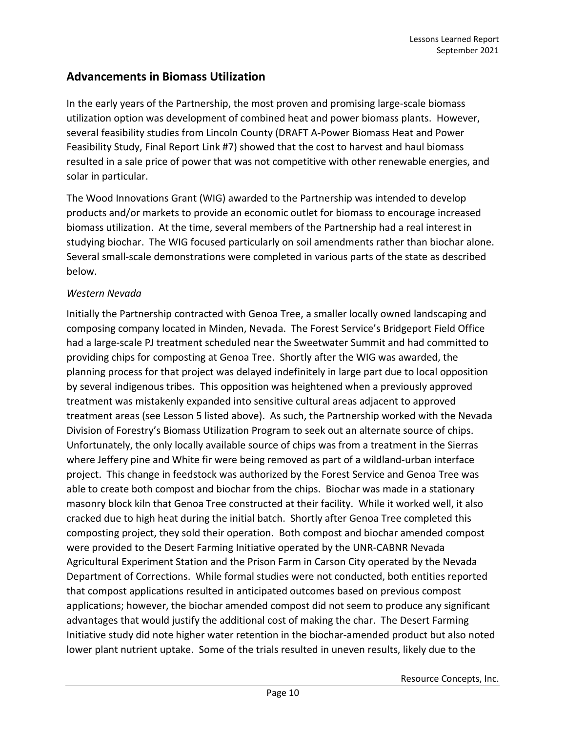### <span id="page-11-0"></span>**Advancements in Biomass Utilization**

In the early years of the Partnership, the most proven and promising large-scale biomass utilization option was development of combined heat and power biomass plants. However, several feasibility studies from Lincoln County (DRAFT A-Power Biomass Heat and Power Feasibility Study, Final Report Link #7) showed that the cost to harvest and haul biomass resulted in a sale price of power that was not competitive with other renewable energies, and solar in particular.

The Wood Innovations Grant (WIG) awarded to the Partnership was intended to develop products and/or markets to provide an economic outlet for biomass to encourage increased biomass utilization. At the time, several members of the Partnership had a real interest in studying biochar. The WIG focused particularly on soil amendments rather than biochar alone. Several small-scale demonstrations were completed in various parts of the state as described below.

#### <span id="page-11-1"></span>*Western Nevada*

Initially the Partnership contracted with Genoa Tree, a smaller locally owned landscaping and composing company located in Minden, Nevada. The Forest Service's Bridgeport Field Office had a large-scale PJ treatment scheduled near the Sweetwater Summit and had committed to providing chips for composting at Genoa Tree. Shortly after the WIG was awarded, the planning process for that project was delayed indefinitely in large part due to local opposition by several indigenous tribes. This opposition was heightened when a previously approved treatment was mistakenly expanded into sensitive cultural areas adjacent to approved treatment areas (see Lesson 5 listed above). As such, the Partnership worked with the Nevada Division of Forestry's Biomass Utilization Program to seek out an alternate source of chips. Unfortunately, the only locally available source of chips was from a treatment in the Sierras where Jeffery pine and White fir were being removed as part of a wildland-urban interface project. This change in feedstock was authorized by the Forest Service and Genoa Tree was able to create both compost and biochar from the chips. Biochar was made in a stationary masonry block kiln that Genoa Tree constructed at their facility. While it worked well, it also cracked due to high heat during the initial batch. Shortly after Genoa Tree completed this composting project, they sold their operation. Both compost and biochar amended compost were provided to the Desert Farming Initiative operated by the UNR-CABNR Nevada Agricultural Experiment Station and the Prison Farm in Carson City operated by the Nevada Department of Corrections. While formal studies were not conducted, both entities reported that compost applications resulted in anticipated outcomes based on previous compost applications; however, the biochar amended compost did not seem to produce any significant advantages that would justify the additional cost of making the char. The Desert Farming Initiative study did note higher water retention in the biochar-amended product but also noted lower plant nutrient uptake. Some of the trials resulted in uneven results, likely due to the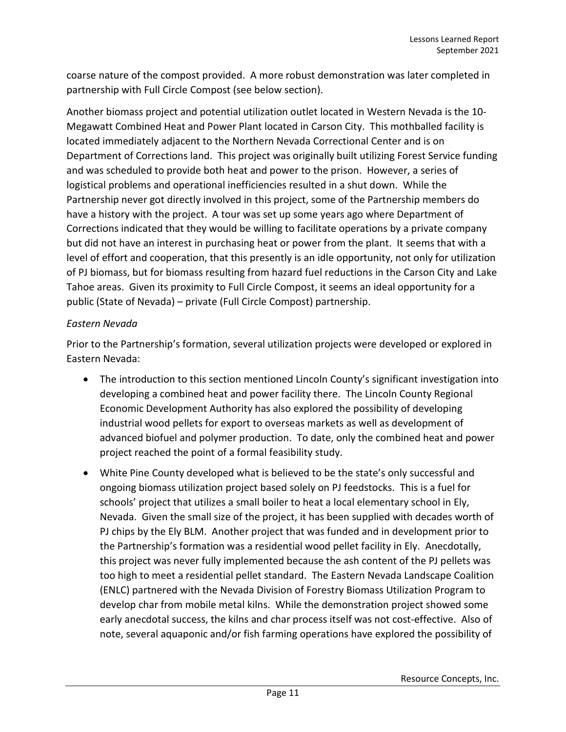coarse nature of the compost provided. A more robust demonstration was later completed in partnership with Full Circle Compost (see below section).

Another biomass project and potential utilization outlet located in Western Nevada is the 10- Megawatt Combined Heat and Power Plant located in Carson City. This mothballed facility is located immediately adjacent to the Northern Nevada Correctional Center and is on Department of Corrections land. This project was originally built utilizing Forest Service funding and was scheduled to provide both heat and power to the prison. However, a series of logistical problems and operational inefficiencies resulted in a shut down. While the Partnership never got directly involved in this project, some of the Partnership members do have a history with the project. A tour was set up some years ago where Department of Corrections indicated that they would be willing to facilitate operations by a private company but did not have an interest in purchasing heat or power from the plant. It seems that with a level of effort and cooperation, that this presently is an idle opportunity, not only for utilization of PJ biomass, but for biomass resulting from hazard fuel reductions in the Carson City and Lake Tahoe areas. Given its proximity to Full Circle Compost, it seems an ideal opportunity for a public (State of Nevada) – private (Full Circle Compost) partnership.

#### <span id="page-12-0"></span>*Eastern Nevada*

Prior to the Partnership's formation, several utilization projects were developed or explored in Eastern Nevada:

- The introduction to this section mentioned Lincoln County's significant investigation into developing a combined heat and power facility there. The Lincoln County Regional Economic Development Authority has also explored the possibility of developing industrial wood pellets for export to overseas markets as well as development of advanced biofuel and polymer production. To date, only the combined heat and power project reached the point of a formal feasibility study.
- White Pine County developed what is believed to be the state's only successful and ongoing biomass utilization project based solely on PJ feedstocks. This is a fuel for schools' project that utilizes a small boiler to heat a local elementary school in Ely, Nevada. Given the small size of the project, it has been supplied with decades worth of PJ chips by the Ely BLM. Another project that was funded and in development prior to the Partnership's formation was a residential wood pellet facility in Ely. Anecdotally, this project was never fully implemented because the ash content of the PJ pellets was too high to meet a residential pellet standard. The Eastern Nevada Landscape Coalition (ENLC) partnered with the Nevada Division of Forestry Biomass Utilization Program to develop char from mobile metal kilns. While the demonstration project showed some early anecdotal success, the kilns and char process itself was not cost-effective. Also of note, several aquaponic and/or fish farming operations have explored the possibility of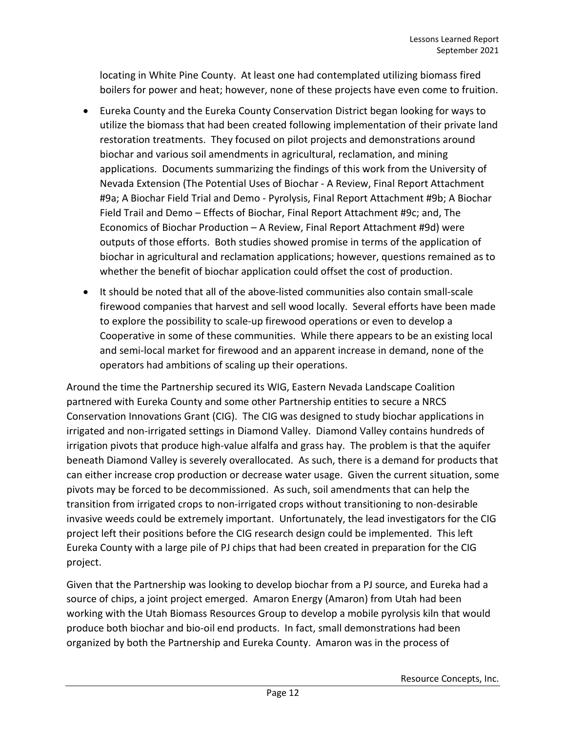locating in White Pine County. At least one had contemplated utilizing biomass fired boilers for power and heat; however, none of these projects have even come to fruition.

- Eureka County and the Eureka County Conservation District began looking for ways to utilize the biomass that had been created following implementation of their private land restoration treatments. They focused on pilot projects and demonstrations around biochar and various soil amendments in agricultural, reclamation, and mining applications. Documents summarizing the findings of this work from the University of Nevada Extension (The Potential Uses of Biochar - A Review, Final Report Attachment #9a; A Biochar Field Trial and Demo - Pyrolysis, Final Report Attachment #9b; A Biochar Field Trail and Demo – Effects of Biochar, Final Report Attachment #9c; and, The Economics of Biochar Production – A Review, Final Report Attachment #9d) were outputs of those efforts. Both studies showed promise in terms of the application of biochar in agricultural and reclamation applications; however, questions remained as to whether the benefit of biochar application could offset the cost of production.
- It should be noted that all of the above-listed communities also contain small-scale firewood companies that harvest and sell wood locally. Several efforts have been made to explore the possibility to scale-up firewood operations or even to develop a Cooperative in some of these communities. While there appears to be an existing local and semi-local market for firewood and an apparent increase in demand, none of the operators had ambitions of scaling up their operations.

Around the time the Partnership secured its WIG, Eastern Nevada Landscape Coalition partnered with Eureka County and some other Partnership entities to secure a NRCS Conservation Innovations Grant (CIG). The CIG was designed to study biochar applications in irrigated and non-irrigated settings in Diamond Valley. Diamond Valley contains hundreds of irrigation pivots that produce high-value alfalfa and grass hay. The problem is that the aquifer beneath Diamond Valley is severely overallocated. As such, there is a demand for products that can either increase crop production or decrease water usage. Given the current situation, some pivots may be forced to be decommissioned. As such, soil amendments that can help the transition from irrigated crops to non-irrigated crops without transitioning to non-desirable invasive weeds could be extremely important. Unfortunately, the lead investigators for the CIG project left their positions before the CIG research design could be implemented. This left Eureka County with a large pile of PJ chips that had been created in preparation for the CIG project.

Given that the Partnership was looking to develop biochar from a PJ source, and Eureka had a source of chips, a joint project emerged. Amaron Energy (Amaron) from Utah had been working with the Utah Biomass Resources Group to develop a mobile pyrolysis kiln that would produce both biochar and bio-oil end products. In fact, small demonstrations had been organized by both the Partnership and Eureka County. Amaron was in the process of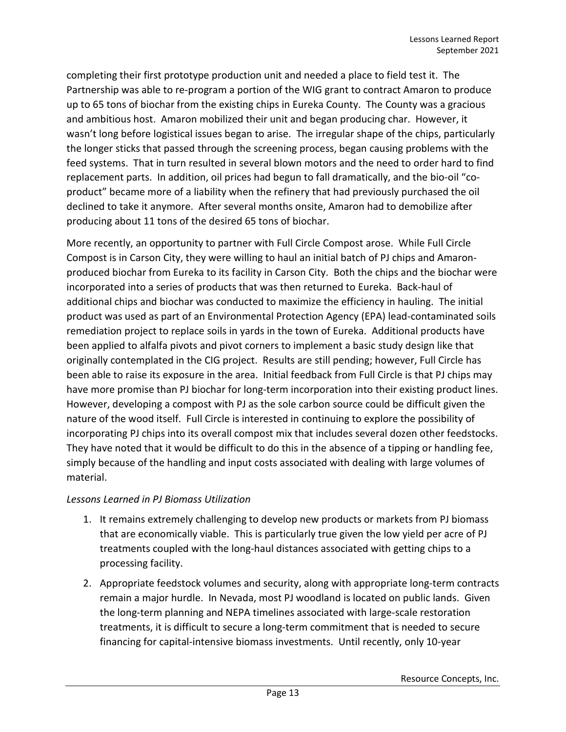completing their first prototype production unit and needed a place to field test it. The Partnership was able to re-program a portion of the WIG grant to contract Amaron to produce up to 65 tons of biochar from the existing chips in Eureka County. The County was a gracious and ambitious host. Amaron mobilized their unit and began producing char. However, it wasn't long before logistical issues began to arise. The irregular shape of the chips, particularly the longer sticks that passed through the screening process, began causing problems with the feed systems. That in turn resulted in several blown motors and the need to order hard to find replacement parts. In addition, oil prices had begun to fall dramatically, and the bio-oil "coproduct" became more of a liability when the refinery that had previously purchased the oil declined to take it anymore. After several months onsite, Amaron had to demobilize after producing about 11 tons of the desired 65 tons of biochar.

More recently, an opportunity to partner with Full Circle Compost arose. While Full Circle Compost is in Carson City, they were willing to haul an initial batch of PJ chips and Amaronproduced biochar from Eureka to its facility in Carson City. Both the chips and the biochar were incorporated into a series of products that was then returned to Eureka. Back-haul of additional chips and biochar was conducted to maximize the efficiency in hauling. The initial product was used as part of an Environmental Protection Agency (EPA) lead-contaminated soils remediation project to replace soils in yards in the town of Eureka. Additional products have been applied to alfalfa pivots and pivot corners to implement a basic study design like that originally contemplated in the CIG project. Results are still pending; however, Full Circle has been able to raise its exposure in the area. Initial feedback from Full Circle is that PJ chips may have more promise than PJ biochar for long-term incorporation into their existing product lines. However, developing a compost with PJ as the sole carbon source could be difficult given the nature of the wood itself. Full Circle is interested in continuing to explore the possibility of incorporating PJ chips into its overall compost mix that includes several dozen other feedstocks. They have noted that it would be difficult to do this in the absence of a tipping or handling fee, simply because of the handling and input costs associated with dealing with large volumes of material.

#### <span id="page-14-0"></span>*Lessons Learned in PJ Biomass Utilization*

- 1. It remains extremely challenging to develop new products or markets from PJ biomass that are economically viable. This is particularly true given the low yield per acre of PJ treatments coupled with the long-haul distances associated with getting chips to a processing facility.
- 2. Appropriate feedstock volumes and security, along with appropriate long-term contracts remain a major hurdle. In Nevada, most PJ woodland is located on public lands. Given the long-term planning and NEPA timelines associated with large-scale restoration treatments, it is difficult to secure a long-term commitment that is needed to secure financing for capital-intensive biomass investments. Until recently, only 10-year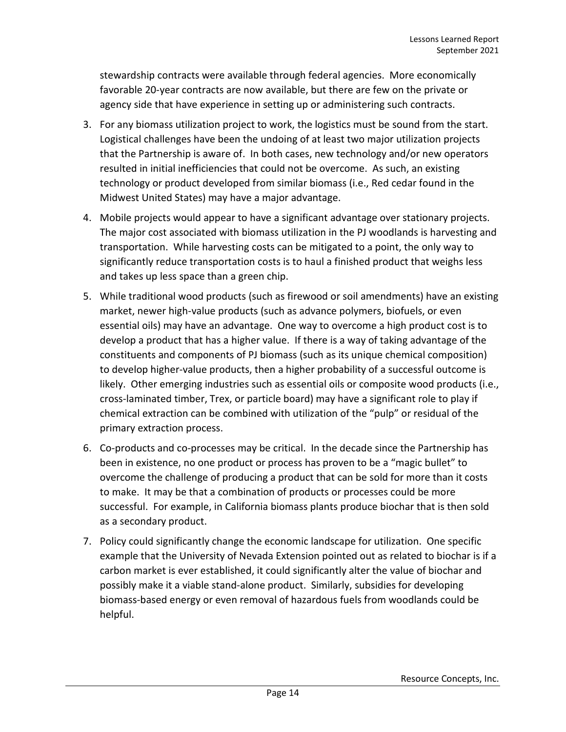stewardship contracts were available through federal agencies. More economically favorable 20-year contracts are now available, but there are few on the private or agency side that have experience in setting up or administering such contracts.

- 3. For any biomass utilization project to work, the logistics must be sound from the start. Logistical challenges have been the undoing of at least two major utilization projects that the Partnership is aware of. In both cases, new technology and/or new operators resulted in initial inefficiencies that could not be overcome. As such, an existing technology or product developed from similar biomass (i.e., Red cedar found in the Midwest United States) may have a major advantage.
- 4. Mobile projects would appear to have a significant advantage over stationary projects. The major cost associated with biomass utilization in the PJ woodlands is harvesting and transportation. While harvesting costs can be mitigated to a point, the only way to significantly reduce transportation costs is to haul a finished product that weighs less and takes up less space than a green chip.
- 5. While traditional wood products (such as firewood or soil amendments) have an existing market, newer high-value products (such as advance polymers, biofuels, or even essential oils) may have an advantage. One way to overcome a high product cost is to develop a product that has a higher value. If there is a way of taking advantage of the constituents and components of PJ biomass (such as its unique chemical composition) to develop higher-value products, then a higher probability of a successful outcome is likely. Other emerging industries such as essential oils or composite wood products (i.e., cross-laminated timber, Trex, or particle board) may have a significant role to play if chemical extraction can be combined with utilization of the "pulp" or residual of the primary extraction process.
- 6. Co-products and co-processes may be critical. In the decade since the Partnership has been in existence, no one product or process has proven to be a "magic bullet" to overcome the challenge of producing a product that can be sold for more than it costs to make. It may be that a combination of products or processes could be more successful. For example, in California biomass plants produce biochar that is then sold as a secondary product.
- 7. Policy could significantly change the economic landscape for utilization. One specific example that the University of Nevada Extension pointed out as related to biochar is if a carbon market is ever established, it could significantly alter the value of biochar and possibly make it a viable stand-alone product. Similarly, subsidies for developing biomass-based energy or even removal of hazardous fuels from woodlands could be helpful.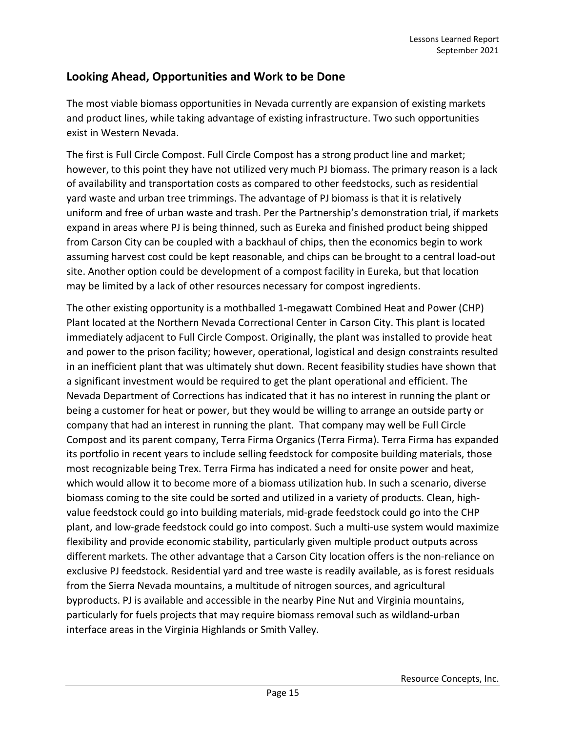# <span id="page-16-0"></span>**Looking Ahead, Opportunities and Work to be Done**

The most viable biomass opportunities in Nevada currently are expansion of existing markets and product lines, while taking advantage of existing infrastructure. Two such opportunities exist in Western Nevada.

The first is Full Circle Compost. Full Circle Compost has a strong product line and market; however, to this point they have not utilized very much PJ biomass. The primary reason is a lack of availability and transportation costs as compared to other feedstocks, such as residential yard waste and urban tree trimmings. The advantage of PJ biomass is that it is relatively uniform and free of urban waste and trash. Per the Partnership's demonstration trial, if markets expand in areas where PJ is being thinned, such as Eureka and finished product being shipped from Carson City can be coupled with a backhaul of chips, then the economics begin to work assuming harvest cost could be kept reasonable, and chips can be brought to a central load-out site. Another option could be development of a compost facility in Eureka, but that location may be limited by a lack of other resources necessary for compost ingredients.

The other existing opportunity is a mothballed 1-megawatt Combined Heat and Power (CHP) Plant located at the Northern Nevada Correctional Center in Carson City. This plant is located immediately adjacent to Full Circle Compost. Originally, the plant was installed to provide heat and power to the prison facility; however, operational, logistical and design constraints resulted in an inefficient plant that was ultimately shut down. Recent feasibility studies have shown that a significant investment would be required to get the plant operational and efficient. The Nevada Department of Corrections has indicated that it has no interest in running the plant or being a customer for heat or power, but they would be willing to arrange an outside party or company that had an interest in running the plant. That company may well be Full Circle Compost and its parent company, Terra Firma Organics (Terra Firma). Terra Firma has expanded its portfolio in recent years to include selling feedstock for composite building materials, those most recognizable being Trex. Terra Firma has indicated a need for onsite power and heat, which would allow it to become more of a biomass utilization hub. In such a scenario, diverse biomass coming to the site could be sorted and utilized in a variety of products. Clean, highvalue feedstock could go into building materials, mid-grade feedstock could go into the CHP plant, and low-grade feedstock could go into compost. Such a multi-use system would maximize flexibility and provide economic stability, particularly given multiple product outputs across different markets. The other advantage that a Carson City location offers is the non-reliance on exclusive PJ feedstock. Residential yard and tree waste is readily available, as is forest residuals from the Sierra Nevada mountains, a multitude of nitrogen sources, and agricultural byproducts. PJ is available and accessible in the nearby Pine Nut and Virginia mountains, particularly for fuels projects that may require biomass removal such as wildland-urban interface areas in the Virginia Highlands or Smith Valley.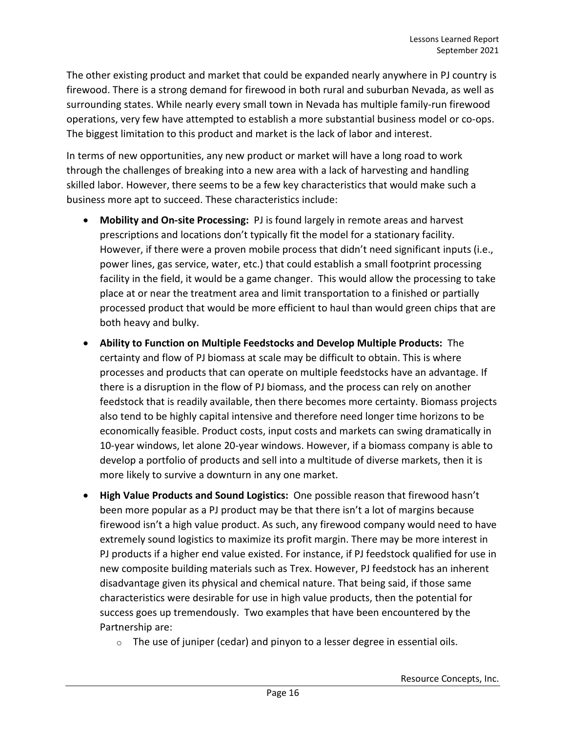The other existing product and market that could be expanded nearly anywhere in PJ country is firewood. There is a strong demand for firewood in both rural and suburban Nevada, as well as surrounding states. While nearly every small town in Nevada has multiple family-run firewood operations, very few have attempted to establish a more substantial business model or co-ops. The biggest limitation to this product and market is the lack of labor and interest.

In terms of new opportunities, any new product or market will have a long road to work through the challenges of breaking into a new area with a lack of harvesting and handling skilled labor. However, there seems to be a few key characteristics that would make such a business more apt to succeed. These characteristics include:

- **Mobility and On-site Processing:** PJ is found largely in remote areas and harvest prescriptions and locations don't typically fit the model for a stationary facility. However, if there were a proven mobile process that didn't need significant inputs (i.e., power lines, gas service, water, etc.) that could establish a small footprint processing facility in the field, it would be a game changer. This would allow the processing to take place at or near the treatment area and limit transportation to a finished or partially processed product that would be more efficient to haul than would green chips that are both heavy and bulky.
- **Ability to Function on Multiple Feedstocks and Develop Multiple Products:** The certainty and flow of PJ biomass at scale may be difficult to obtain. This is where processes and products that can operate on multiple feedstocks have an advantage. If there is a disruption in the flow of PJ biomass, and the process can rely on another feedstock that is readily available, then there becomes more certainty. Biomass projects also tend to be highly capital intensive and therefore need longer time horizons to be economically feasible. Product costs, input costs and markets can swing dramatically in 10-year windows, let alone 20-year windows. However, if a biomass company is able to develop a portfolio of products and sell into a multitude of diverse markets, then it is more likely to survive a downturn in any one market.
- **High Value Products and Sound Logistics:** One possible reason that firewood hasn't been more popular as a PJ product may be that there isn't a lot of margins because firewood isn't a high value product. As such, any firewood company would need to have extremely sound logistics to maximize its profit margin. There may be more interest in PJ products if a higher end value existed. For instance, if PJ feedstock qualified for use in new composite building materials such as Trex. However, PJ feedstock has an inherent disadvantage given its physical and chemical nature. That being said, if those same characteristics were desirable for use in high value products, then the potential for success goes up tremendously. Two examples that have been encountered by the Partnership are:
	- $\circ$  The use of juniper (cedar) and pinyon to a lesser degree in essential oils.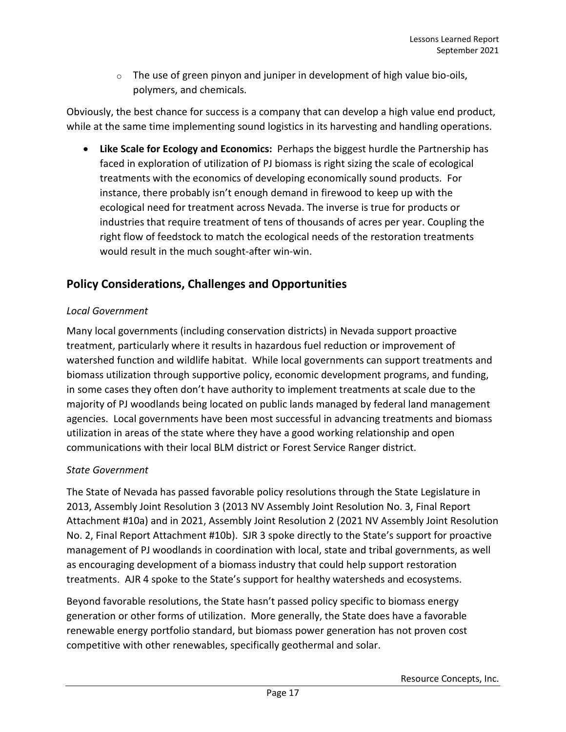$\circ$  The use of green pinyon and juniper in development of high value bio-oils, polymers, and chemicals.

Obviously, the best chance for success is a company that can develop a high value end product, while at the same time implementing sound logistics in its harvesting and handling operations.

• **Like Scale for Ecology and Economics:** Perhaps the biggest hurdle the Partnership has faced in exploration of utilization of PJ biomass is right sizing the scale of ecological treatments with the economics of developing economically sound products. For instance, there probably isn't enough demand in firewood to keep up with the ecological need for treatment across Nevada. The inverse is true for products or industries that require treatment of tens of thousands of acres per year. Coupling the right flow of feedstock to match the ecological needs of the restoration treatments would result in the much sought-after win-win.

# <span id="page-18-0"></span>**Policy Considerations, Challenges and Opportunities**

#### <span id="page-18-1"></span>*Local Government*

Many local governments (including conservation districts) in Nevada support proactive treatment, particularly where it results in hazardous fuel reduction or improvement of watershed function and wildlife habitat. While local governments can support treatments and biomass utilization through supportive policy, economic development programs, and funding, in some cases they often don't have authority to implement treatments at scale due to the majority of PJ woodlands being located on public lands managed by federal land management agencies. Local governments have been most successful in advancing treatments and biomass utilization in areas of the state where they have a good working relationship and open communications with their local BLM district or Forest Service Ranger district.

#### *State Government*

The State of Nevada has passed favorable policy resolutions through the State Legislature in 2013, Assembly Joint Resolution 3 (2013 NV Assembly Joint Resolution No. 3, Final Report Attachment #10a) and in 2021, Assembly Joint Resolution 2 (2021 NV Assembly Joint Resolution No. 2, Final Report Attachment #10b). SJR 3 spoke directly to the State's support for proactive management of PJ woodlands in coordination with local, state and tribal governments, as well as encouraging development of a biomass industry that could help support restoration treatments. AJR 4 spoke to the State's support for healthy watersheds and ecosystems.

Beyond favorable resolutions, the State hasn't passed policy specific to biomass energy generation or other forms of utilization. More generally, the State does have a favorable renewable energy portfolio standard, but biomass power generation has not proven cost competitive with other renewables, specifically geothermal and solar.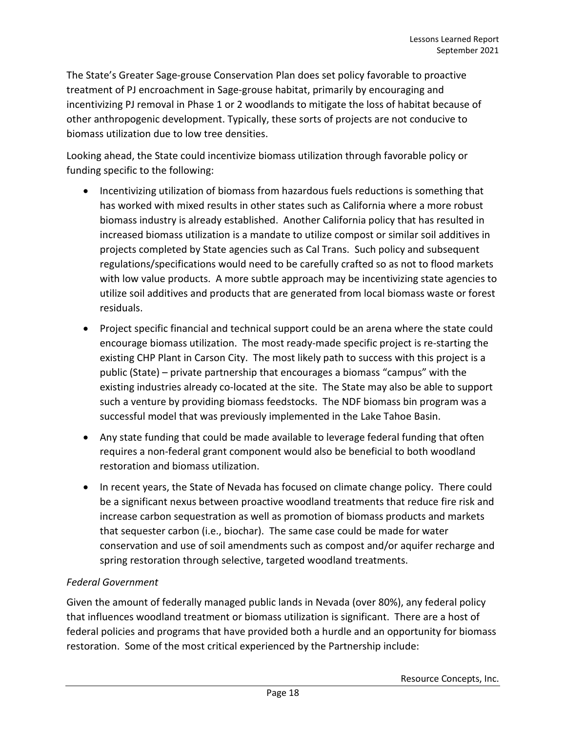The State's Greater Sage-grouse Conservation Plan does set policy favorable to proactive treatment of PJ encroachment in Sage-grouse habitat, primarily by encouraging and incentivizing PJ removal in Phase 1 or 2 woodlands to mitigate the loss of habitat because of other anthropogenic development. Typically, these sorts of projects are not conducive to biomass utilization due to low tree densities.

Looking ahead, the State could incentivize biomass utilization through favorable policy or funding specific to the following:

- Incentivizing utilization of biomass from hazardous fuels reductions is something that has worked with mixed results in other states such as California where a more robust biomass industry is already established. Another California policy that has resulted in increased biomass utilization is a mandate to utilize compost or similar soil additives in projects completed by State agencies such as Cal Trans. Such policy and subsequent regulations/specifications would need to be carefully crafted so as not to flood markets with low value products. A more subtle approach may be incentivizing state agencies to utilize soil additives and products that are generated from local biomass waste or forest residuals.
- Project specific financial and technical support could be an arena where the state could encourage biomass utilization. The most ready-made specific project is re-starting the existing CHP Plant in Carson City. The most likely path to success with this project is a public (State) – private partnership that encourages a biomass "campus" with the existing industries already co-located at the site. The State may also be able to support such a venture by providing biomass feedstocks. The NDF biomass bin program was a successful model that was previously implemented in the Lake Tahoe Basin.
- Any state funding that could be made available to leverage federal funding that often requires a non-federal grant component would also be beneficial to both woodland restoration and biomass utilization.
- In recent years, the State of Nevada has focused on climate change policy. There could be a significant nexus between proactive woodland treatments that reduce fire risk and increase carbon sequestration as well as promotion of biomass products and markets that sequester carbon (i.e., biochar). The same case could be made for water conservation and use of soil amendments such as compost and/or aquifer recharge and spring restoration through selective, targeted woodland treatments.

#### <span id="page-19-0"></span>*Federal Government*

Given the amount of federally managed public lands in Nevada (over 80%), any federal policy that influences woodland treatment or biomass utilization is significant. There are a host of federal policies and programs that have provided both a hurdle and an opportunity for biomass restoration. Some of the most critical experienced by the Partnership include: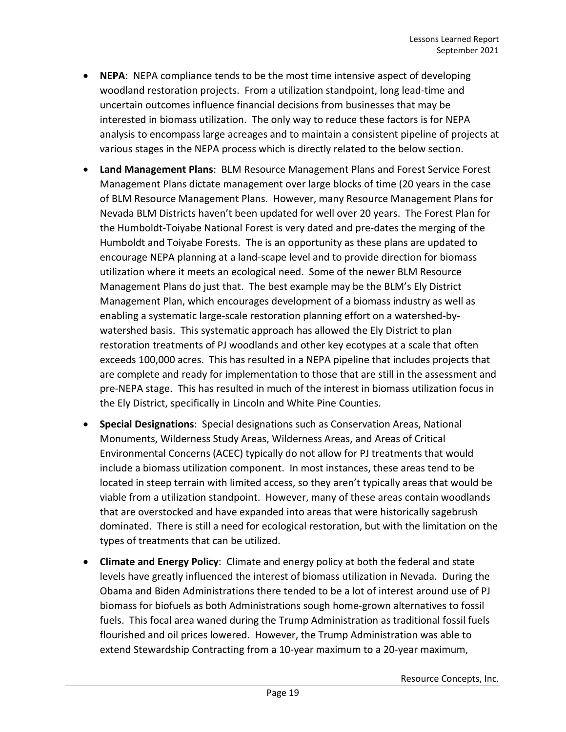- **NEPA**:NEPA compliance tends to be the most time intensive aspect of developing woodland restoration projects. From a utilization standpoint, long lead-time and uncertain outcomes influence financial decisions from businesses that may be interested in biomass utilization. The only way to reduce these factors is for NEPA analysis to encompass large acreages and to maintain a consistent pipeline of projects at various stages in the NEPA process which is directly related to the below section.
- **Land Management Plans**: BLM Resource Management Plans and Forest Service Forest Management Plans dictate management over large blocks of time (20 years in the case of BLM Resource Management Plans. However, many Resource Management Plans for Nevada BLM Districts haven't been updated for well over 20 years. The Forest Plan for the Humboldt-Toiyabe National Forest is very dated and pre-dates the merging of the Humboldt and Toiyabe Forests. The is an opportunity as these plans are updated to encourage NEPA planning at a land-scape level and to provide direction for biomass utilization where it meets an ecological need. Some of the newer BLM Resource Management Plans do just that. The best example may be the BLM's Ely District Management Plan, which encourages development of a biomass industry as well as enabling a systematic large-scale restoration planning effort on a watershed-bywatershed basis. This systematic approach has allowed the Ely District to plan restoration treatments of PJ woodlands and other key ecotypes at a scale that often exceeds 100,000 acres. This has resulted in a NEPA pipeline that includes projects that are complete and ready for implementation to those that are still in the assessment and pre-NEPA stage. This has resulted in much of the interest in biomass utilization focus in the Ely District, specifically in Lincoln and White Pine Counties.
- **Special Designations**: Special designations such as Conservation Areas, National Monuments, Wilderness Study Areas, Wilderness Areas, and Areas of Critical Environmental Concerns (ACEC) typically do not allow for PJ treatments that would include a biomass utilization component. In most instances, these areas tend to be located in steep terrain with limited access, so they aren't typically areas that would be viable from a utilization standpoint. However, many of these areas contain woodlands that are overstocked and have expanded into areas that were historically sagebrush dominated. There is still a need for ecological restoration, but with the limitation on the types of treatments that can be utilized.
- **Climate and Energy Policy**: Climate and energy policy at both the federal and state levels have greatly influenced the interest of biomass utilization in Nevada. During the Obama and Biden Administrations there tended to be a lot of interest around use of PJ biomass for biofuels as both Administrations sough home-grown alternatives to fossil fuels. This focal area waned during the Trump Administration as traditional fossil fuels flourished and oil prices lowered. However, the Trump Administration was able to extend Stewardship Contracting from a 10-year maximum to a 20-year maximum,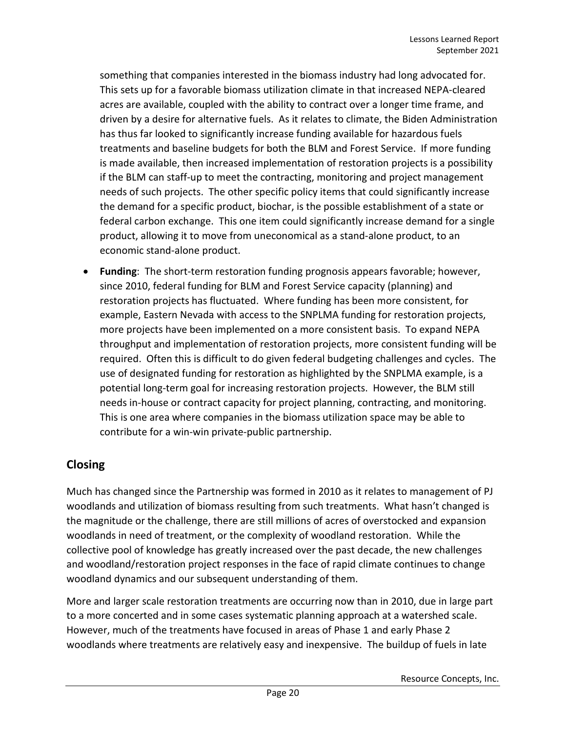something that companies interested in the biomass industry had long advocated for. This sets up for a favorable biomass utilization climate in that increased NEPA-cleared acres are available, coupled with the ability to contract over a longer time frame, and driven by a desire for alternative fuels. As it relates to climate, the Biden Administration has thus far looked to significantly increase funding available for hazardous fuels treatments and baseline budgets for both the BLM and Forest Service. If more funding is made available, then increased implementation of restoration projects is a possibility if the BLM can staff-up to meet the contracting, monitoring and project management needs of such projects. The other specific policy items that could significantly increase the demand for a specific product, biochar, is the possible establishment of a state or federal carbon exchange. This one item could significantly increase demand for a single product, allowing it to move from uneconomical as a stand-alone product, to an economic stand-alone product.

• **Funding**: The short-term restoration funding prognosis appears favorable; however, since 2010, federal funding for BLM and Forest Service capacity (planning) and restoration projects has fluctuated. Where funding has been more consistent, for example, Eastern Nevada with access to the SNPLMA funding for restoration projects, more projects have been implemented on a more consistent basis. To expand NEPA throughput and implementation of restoration projects, more consistent funding will be required. Often this is difficult to do given federal budgeting challenges and cycles. The use of designated funding for restoration as highlighted by the SNPLMA example, is a potential long-term goal for increasing restoration projects. However, the BLM still needs in-house or contract capacity for project planning, contracting, and monitoring. This is one area where companies in the biomass utilization space may be able to contribute for a win-win private-public partnership.

# <span id="page-21-0"></span>**Closing**

Much has changed since the Partnership was formed in 2010 as it relates to management of PJ woodlands and utilization of biomass resulting from such treatments. What hasn't changed is the magnitude or the challenge, there are still millions of acres of overstocked and expansion woodlands in need of treatment, or the complexity of woodland restoration. While the collective pool of knowledge has greatly increased over the past decade, the new challenges and woodland/restoration project responses in the face of rapid climate continues to change woodland dynamics and our subsequent understanding of them.

More and larger scale restoration treatments are occurring now than in 2010, due in large part to a more concerted and in some cases systematic planning approach at a watershed scale. However, much of the treatments have focused in areas of Phase 1 and early Phase 2 woodlands where treatments are relatively easy and inexpensive. The buildup of fuels in late